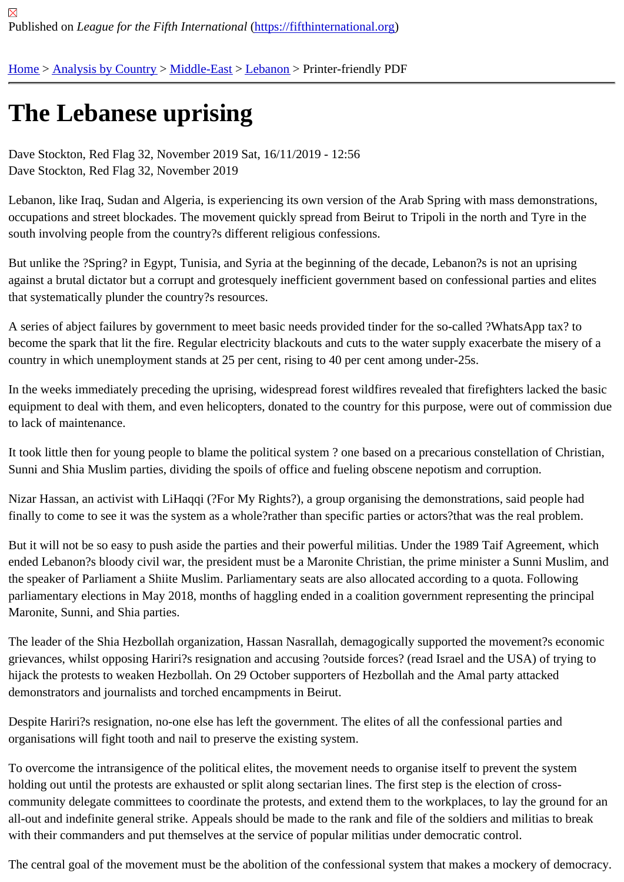## [The](https://fifthinternational.org/) [Lebanese](https://fifthinternational.org/category/1) [uprisi](https://fifthinternational.org/category/1/178)[ng](https://fifthinternational.org/category/1/178/187)

Dave Stockton, Red Flag 32, November 2019 Sat, 16/11/2019 - 12:56 Dave Stockton, Red Flag 32, November 2019

Lebanon, like Iraq, Sudan and Algeria, is experiencing its own version of the Arab Spring with mass demonstratior occupations and street blockades. The movement quickly spread from Beirut to Tripoli in the north and Tyre in the south involving people from the country?s different religious confessions.

But unlike the ?Spring? in Egypt, Tunisia, and Syria at the beginning of the decade, Lebanon?s is not an uprising against a brutal dictator but a corrupt and grotesquely inefficient government based on confessional parties and el that systematically plunder the country?s resources.

A series of abject failures by government to meet basic needs provided tinder for the so-called ?WhatsApp tax? to become the spark that lit the fire. Regular electricity blackouts and cuts to the water supply exacerbate the misery country in which unemployment stands at 25 per cent, rising to 40 per cent among under-25s.

In the weeks immediately preceding the uprising, widespread forest wildfires revealed that firefighters lacked the b equipment to deal with them, and even helicopters, donated to the country for this purpose, were out of commissio to lack of maintenance.

It took little then for young people to blame the political system? one based on a precarious constellation of Christ Sunni and Shia Muslim parties, dividing the spoils of office and fueling obscene nepotism and corruption.

Nizar Hassan, an activist with LiHaqqi (?For My Rights?), a group organising the demonstrations, said people had finally to come to see it was the system as a whole?rather than specific parties or actors?that was the real problen

But it will not be so easy to push aside the parties and their powerful militias. Under the 1989 Taif Agreement, whid ended Lebanon?s bloody civil war, the president must be a Maronite Christian, the prime minister a Sunni Muslim, the speaker of Parliament a Shiite Muslim. Parliamentary seats are also allocated according to a quota. Following parliamentary elections in May 2018, months of haggling ended in a coalition government representing the princip Maronite, Sunni, and Shia parties.

The leader of the Shia Hezbollah organization, Hassan Nasrallah, demagogically supported the movement?s ecor grievances, whilst opposing Hariri?s resignation and accusing ?outside forces? (read Israel and the USA) of trying hijack the protests to weaken Hezbollah. On 29 October supporters of Hezbollah and the Amal party attacked demonstrators and journalists and torched encampments in Beirut.

Despite Hariri?s resignation, no-one else has left the government. The elites of all the confessional parties and organisations will fight tooth and nail to preserve the existing system.

To overcome the intransigence of the political elites, the movement needs to organise itself to prevent the system holding out until the protests are exhausted or split along sectarian lines. The first step is the election of crosscommunity delegate committees to coordinate the protests, and extend them to the workplaces, to lay the ground all-out and indefinite general strike. Appeals should be made to the rank and file of the soldiers and militias to brea with their commanders and put themselves at the service of popular militias under democratic control.

The central goal of the movement must be the abolition of the confessional system that makes a mockery of demo